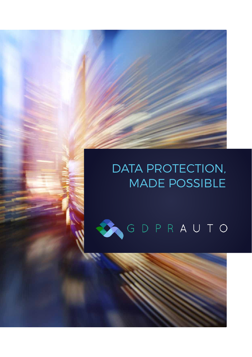## DATA PROTECTION, MADE POSSIBLE

# GDPRAUTO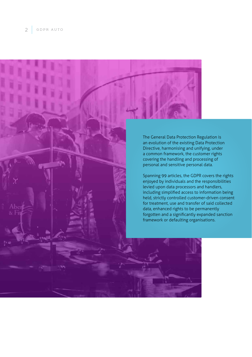

Spanning 99 articles, the GDPR covers the rights enjoyed by individuals and the responsibilities levied upon data processors and handlers, including simplified access to information being held, strictly controlled customer-driven consent for treatment, use and transfer of said collected data, enhanced rights to be permanently forgotten and a significantly expanded sanction framework or defaulting organisations.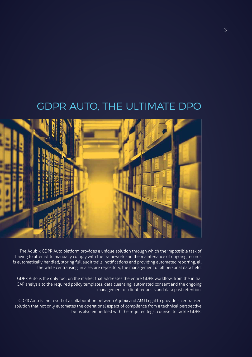

The Aqubix GDPR Auto platform provides a unique solution through which the impossible task of having to attempt to manually comply with the framework and the maintenance of ongoing records is automatically handled, storing full audit trails, notifications and providing automated reporting, all the while centralising, in a secure repository, the management of all personal data held.

GDPR Auto is the only tool on the market that addresses the entire GDPR workflow, from the initial GAP analysis to the required policy templates, data cleansing, automated consent and the ongoing management of client requests and data past retention.

GDPR Auto is the result of a collaboration between Aqubix and AMJ Legal to provide a centralised solution that not only automates the operational aspect of compliance from a technical perspective but is also embedded with the required legal counsel to tackle GDPR.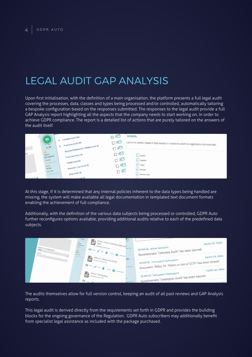### LEGAL AUDIT GAP ANALYSIS

Upon first initialisation, with the definition of a main organisation, the platform presents a full legal audit covering the processes, data, classes and types being processed and/or controlled, automatically tailoring a bespoke configuration based on the responses submitted. The responses to the legal audit provide a full GAP Analysis report highlighting all the aspects that the company needs to start working on, in order to achieve GDPR compliance. The report is a detailed list of actions that are purely tailored on the answers of the audit itself.

|     | $0\%$<br><b>CONTRACTOR</b><br>0/80  | + Company Audit (63)<br>Fmployees Audit (48)                                            | 区内<br>口記<br>口記 | <b>GENERAL</b><br>List all the various classes of data subjects in relation to whom the organisation processes data |
|-----|-------------------------------------|-----------------------------------------------------------------------------------------|----------------|---------------------------------------------------------------------------------------------------------------------|
| IS? | 10<br>LINKED<br>DOCUMENTS<br>UPLOAD | Business Relationship / Affiliate Audit (0)<br>Customers Audit (0)<br>Patient Audit (0) | 口記<br>OE       | $\angle$ Supplier<br>$\angle$ Employee                                                                              |
|     | 450<br><b>NOTES</b><br>ADD NEW      | Potential / Lead Audit (0)<br>Other Audit (0)<br>Audit (0)                              | 口記<br>口手       | $\epsilon$ Patient<br>$\angle$ Customer<br>v Potential / Lead                                                       |

At this stage, if it is determined that any internal policies inherent to the data types being handled are missing, the system will make available all legal documentation in templated text document formats enabling the achievement of full compliance.

Additionally, with the definition of the various data subjects being processed or controlled, GDPR Auto further reconfigures options available, providing additional audits relative to each of the predefined data subjects.

| COUNTRY OF ESSIMATIONS<br>Mata | 0/80<br>Policy 2 - Policy on exercise of Data Prote<br><b>ID</b><br>INIES<br><b>Upinated: INVALID DATE</b><br><b>Picks</b>    | Aqubix Ltd. Malta<br>29 JAN 18 - Adrian Darmanin:                                                                                                                          |
|--------------------------------|-------------------------------------------------------------------------------------------------------------------------------|----------------------------------------------------------------------------------------------------------------------------------------------------------------------------|
| <b>AGDEE</b>                   | O vow p ton in ourself comment<br><b>MOTZS</b><br>AGO NOW<br>B Policy 10 - Policy on Use of CCTV<br><b>VTS</b><br>O viw p ton | Questionnaire 'Company Audit' has been opened<br>Aqubix Ltd. Malta<br>18 JAN 18 - Techsupport Techsupport:<br>Document 'Policy 10 - Policy on Use of CCTV' has been viewed |
|                                | DEETY <b>BE DOWNCAD</b><br>Policy E - Training Policy<br>Uploaded: INVALID DATE<br>$\bullet$ $v_{\text{rw}}$                  | Aqubix Ltd. Malta<br>18 JAN 18 - Techsupport Techsupport:<br>Questionnaire `Employees Audit` has been opened<br>La Malta                                                   |

The audits themselves allow for full version control, keeping an audit of all past reviews and GAP Analysis reports.

This legal audit is derived directly from the requirements set forth in GDPR and provides the building blocks for the ongoing governance of the Regulation. GDPR Auto subscribers may additionally benefit from specialist legal assistance as included with the package purchased.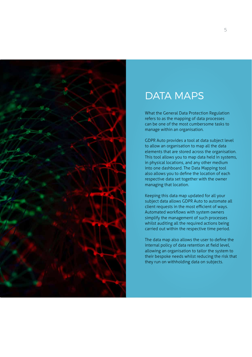

#### DATA MAPS

What the General Data Protection Regulation refers to as the mapping of data processes can be one of the most cumbersome tasks to manage within an organisation.

GDPR Auto provides a tool at data subject level to allow an organisation to map all the data elements that are stored across the organisation. This tool allows you to map data held in systems, in physical locations, and any other medium into one dashboard. The Data Mapping tool also allows you to define the location of each respective data set together with the owner managing that location.

Keeping this data map updated for all your subject data allows GDPR Auto to automate all client requests in the most efficient of ways. Automated workflows with system owners simplify the management of such processes whilst auditing all the required actions being carried out within the respective time period.

The data map also allows the user to define the internal policy of data retention at field level, allowing an organisation to tailor the system to their bespoke needs whilst reducing the risk that they run on withholding data on subjects.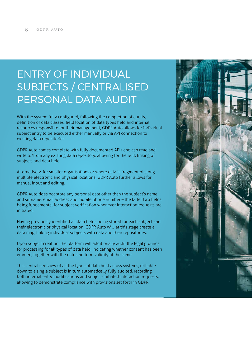### ENTRY OF INDIVIDUAL SUBJECTS / CENTRALISED PERSONAL DATA AUDIT

With the system fully configured, following the completion of audits, definition of data classes, field location of data types held and internal resources responsible for their management, GDPR Auto allows for individual subject entry to be executed either manually or via API connection to existing data repositories.

GDPR Auto comes complete with fully documented APIs and can read and write to/from any existing data repository, allowing for the bulk linking of subjects and data held.

Alternatively, for smaller organisations or where data is fragmented along multiple electronic and physical locations, GDPR Auto further allows for manual input and editing.

GDPR Auto does not store any personal data other than the subject's name and surname, email address and mobile phone number – the latter two fields being fundamental for subject verification whenever interaction requests are initiated.

Having previously identified all data fields being stored for each subject and their electronic or physical location, GDPR Auto will, at this stage create a data map, linking individual subjects with data and their repositories.

Upon subject creation, the platform will additionally audit the legal grounds for processing for all types of data held, indicating whether consent has been granted, together with the date and term validity of the same.

This centralised view of all the types of data held across systems, drillable down to a single subject is in turn automatically fully audited, recording both internal entry modifications and subject-initiated interaction requests, allowing to demonstrate compliance with provisions set forth in GDPR.

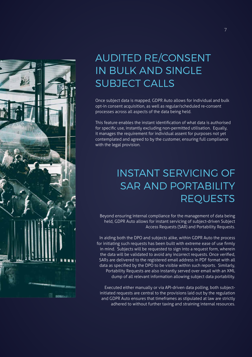

#### AUDITED RE/CONSENT IN BULK AND SINGLE SUBJECT CALLS

Once subject data is mapped, GDPR Auto allows for individual and bulk opt-in consent acquisition, as well as regular/scheduled re-consent processes across all aspects of the data being held.

This feature enables the instant identification of what data is authorised for specific use, instantly excluding non-permitted utilisation. Equally, it manages the requirement for individual assent for purposes not yet contemplated and agreed to by the customer, ensuring full compliance with the legal provision.

#### INSTANT SERVICING OF SAR AND PORTABILITY **REQUESTS**

Beyond ensuring internal compliance for the management of data being held, GDPR Auto allows for instant servicing of subject-driven Subject Access Requests (SAR) and Portability Requests.

In aiding both the DPO and subjects alike, within GDPR Auto the process for initiating such requests has been built with extreme ease of use firmly in mind. Subjects will be requested to sign into a request form, wherein the data will be validated to avoid any incorrect requests. Once verified, SARs are delivered to the registered email address in PDF format with all data as specified by the DPO to be visible within such reports. Similarly, Portability Requests are also instantly served over email with an XML dump of all relevant information allowing subject data portability.

Executed either manually or via API-driven data polling, both subjectinitiated requests are central to the provisions laid out by the regulation and GDPR Auto ensures that timeframes as stipulated at law are strictly adhered to without further taxing and straining internal resources.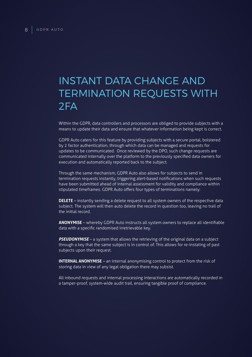#### INSTANT DATA CHANGE AND TERMINATION REQUESTS WITH 2FA

Within the GDPR, data controllers and processors are obliged to provide subjects with a means to update their data and ensure that whatever information being kept is correct.

GDPR Auto caters for this feature by providing subjects with a secure portal, bolstered by 2 factor authentication, through which data can be managed and requests for updates to be communicated. Once reviewed by the DPO, such change requests are communicated internally over the platform to the previously specified data owners for execution and automatically reported back to the subject.

Through the same mechanism, GDPR Auto also allows for subjects to send in termination requests instantly, triggering alert-based notifications when such requests have been submitted ahead of internal assessment for validity and compliance within stipulated timeframes. GDPR Auto offers four types of terminations namely:

**DELETE** – instantly sending a delete request to all system owners of the respective data subject. The system will then auto delete the record in question too, leaving no trail of the initial record.

**ANONYMISE** – whereby GDPR Auto instructs all system owners to replace all identifiable data with a specific randomised irretrievable key.

**PSEUDONYMISE** – a system that allows the retrieving of the original data on a subject through a key that the same subject is in control of. This allows for re-instating of past subjects upon their request.

**INTERNAL ANONYMISE** – an internal anonymising control to protect from the risk of storing data in view of any legal obligation there may subsist.

All inbound requests and internal processing interactions are automatically recorded in a tamper-proof, system-wide audit trail, ensuring tangible proof of compliance.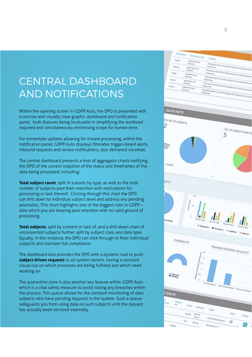#### CENTRAL DASHBOARD AND NOTIFICATIONS

Within the opening screen in GDPR Auto, the DPO is presented with a concise and visually clear graphic dashboard and notification panel, both features being invaluable in simplifying the workload required and simultaneously minimising scope for human error.

For immediate updates allowing for instant processing, within the notification panel, GDPR Auto displays filterable trigger-based alerts, inbound requests and review notifications, also delivered via email.

The central dashboard presents a host of aggregator charts notifying the DPO of the current snapshot of the status and timeframes of the data being processed, including:

**Total subject count**, split in subsets by type, as well as the total number of subjects past their retention with motivations for processing or lack thereof. Clicking through this chart the DPO can drill down to individual subject level and address any pending anomalies. This chart highlights one of the biggest risks in GDPR – data which you are keeping past retention with no valid ground of processing.

**Total subjects**, split by consent or lack of, and a drill-down chart of unconsented subjects further split by subject class and data type. Equally, in this instance, the DPO can click through to filter individual subjects and maintain full compliance.

The dashboard also provides the DPO with a dynamic tool to push **subject driven requests** to all system owners, having a constant visual cue on which processes are being fulfilled and which need working on.

The quarantine zone is also another key feature within GDPR Auto which is a vital safety measure to avoid risking any breaches within the process. This queue allows for the constant monitoring of data subjects who have pending requests in the system. Such a queue safeguards you from using data on such subjects until the request has actually been serviced internally.

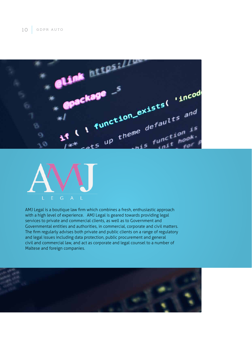



AMJ Legal is a boutique law firm which combines a fresh, enthusiastic approach with a high level of experience. AMJ Legal is geared towards providing legal services to private and commercial clients, as well as to Government and Governmental entities and authorities, in commercial, corporate and civil matters. The firm regularly advises both private and public clients on a range of regulatory and legal issues including data protection, public procurement and general civil and commercial law, and act as corporate and legal counsel to a number of Maltese and foreign companies.

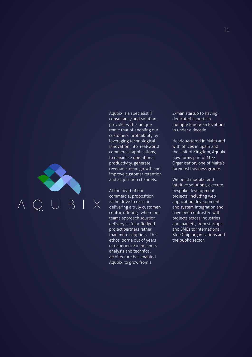Aqubix is a specialist IT consultancy and solution provider with a unique remit: that of enabling our customers' profitability by leveraging technological innovation into real-world commercial applications, to maximise operational productivity, generate revenue stream growth and improve customer retention and acquisition channels.

At the heart of our commercial proposition is the drive to excel in delivering a truly customercentric offering, where our teams approach solution delivery as fully-fledged project partners rather than mere suppliers. This ethos, borne out of years of experience in business analysis and technical architecture has enabled Aqubix, to grow from a

2-man startup to having dedicated experts in multiple European locations in under a decade.

Headquartered in Malta and with offices in Spain and the United Kingdom, Aqubix now forms part of Mizzi Organisation, one of Malta's foremost business groups.

We build modular and intuitive solutions, execute bespoke development projects, including web application development and system integration and have been entrusted with projects across industries and markets, from startups and SMEs to international Blue Chip organisations and the public sector.